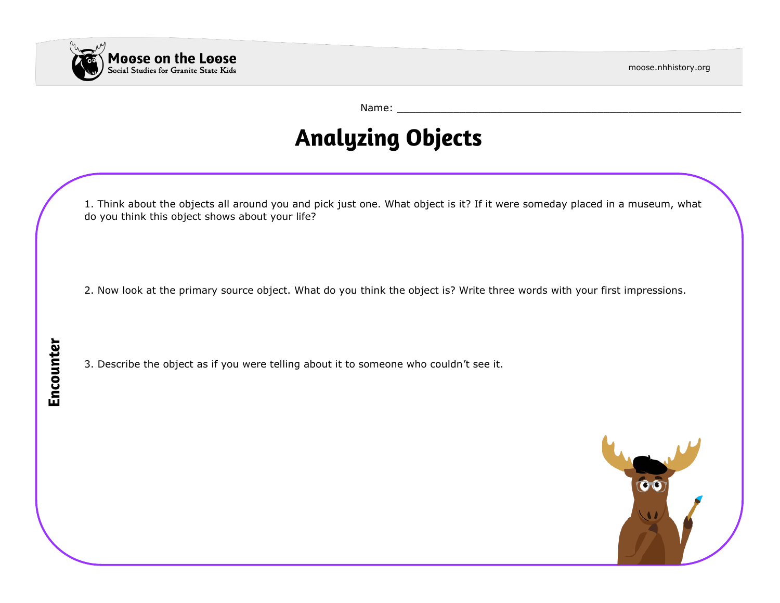

moose.nhhistory.org

Name: \_\_\_\_\_\_\_\_\_\_\_\_\_\_\_\_\_\_\_\_\_\_\_\_\_\_\_\_\_\_\_\_\_\_\_\_\_\_\_\_\_\_\_\_\_\_\_\_\_\_\_\_\_\_\_

## **Analyzing Objects**

1. Think about the objects all around you and pick just one. What object is it? If it were someday placed in a museum, what do you think this object shows about your life?

2. Now look at the primary source object. What do you think the object is? Write three words with your first impressions.

3. Describe the object as if you were telling about it to someone who couldn't see it.

Encounter

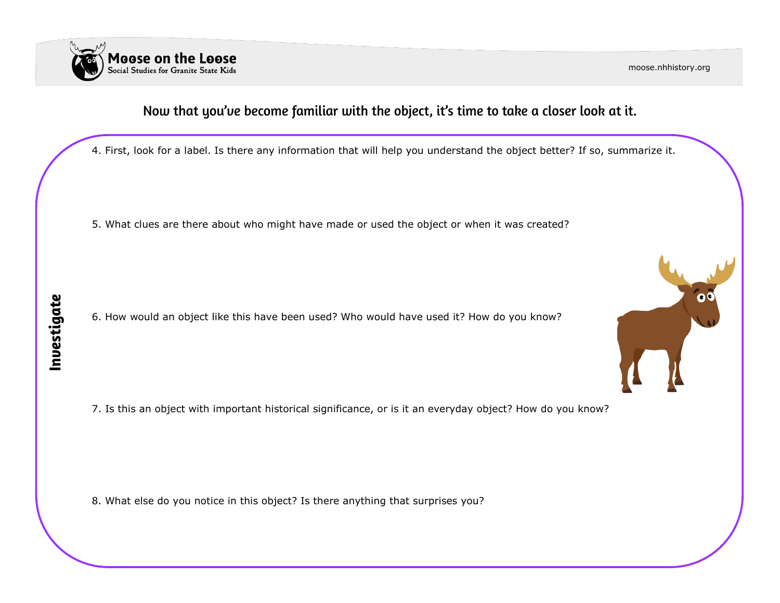

moose.nhhistory.org

 $\bullet$ 

### Now that you've become familiar with the object, it's time to take a closer look at it.

4. First, look for a label. Is there any information that will help you understand the object better? If so, summarize it.

5. What clues are there about who might have made or used the object or when it was created?

6. How would an object like this have been used? Who would have used it? How do you know?

7. Is this an object with important historical significance, or is it an everyday object? How do you know?

8. What else do you notice in this object? Is there anything that surprises you?